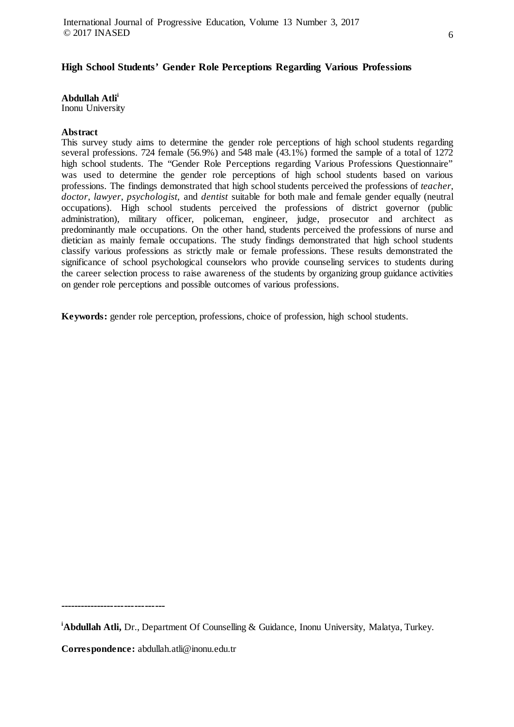# **High School Students' Gender Role Perceptions Regarding Various Professions**

**Abdullah Atlii**

Inonu University

# **Abstract**

This survey study aims to determine the gender role perceptions of high school students regarding several professions. 724 female (56.9%) and 548 male (43.1%) formed the sample of a total of 1272 high school students. The "Gender Role Perceptions regarding Various Professions Questionnaire" was used to determine the gender role perceptions of high school students based on various professions. The findings demonstrated that high school students perceived the professions of *teacher*, *doctor*, *lawyer*, *psychologist,* and *dentist* suitable for both male and female gender equally (neutral occupations). High school students perceived the professions of district governor (public administration), military officer, policeman, engineer, judge, prosecutor and architect as predominantly male occupations. On the other hand, students perceived the professions of nurse and dietician as mainly female occupations. The study findings demonstrated that high school students classify various professions as strictly male or female professions. These results demonstrated the significance of school psychological counselors who provide counseling services to students during the career selection process to raise awareness of the students by organizing group guidance activities on gender role perceptions and possible outcomes of various professions.

**Keywords:** gender role perception, professions, choice of profession, high school students.

**-------------------------------**

**i Abdullah Atli,** Dr., Department Of Counselling & Guidance, Inonu University, Malatya, Turkey.

**Correspondence:** abdullah.atli@inonu.edu.tr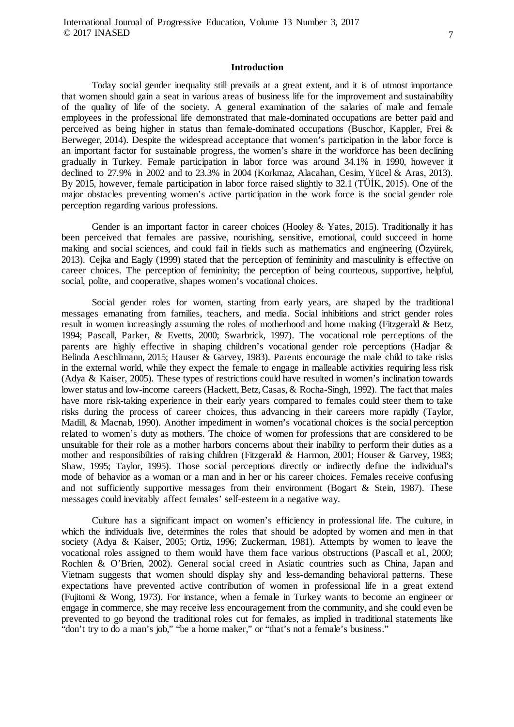### **Introduction**

Today social gender inequality still prevails at a great extent, and it is of utmost importance that women should gain a seat in various areas of business life for the improvement and sustainability of the quality of life of the society. A general examination of the salaries of male and female employees in the professional life demonstrated that male-dominated occupations are better paid and perceived as being higher in status than female-dominated occupations (Buschor, Kappler, Frei & Berweger, 2014). Despite the widespread acceptance that women's participation in the labor force is an important factor for sustainable progress, the women's share in the workforce has been declining gradually in Turkey. Female participation in labor force was around 34.1% in 1990, however it declined to 27.9% in 2002 and to 23.3% in 2004 (Korkmaz, Alacahan, Cesim, Yücel & Aras, 2013). By 2015, however, female participation in labor force raised slightly to 32.1 (TÜİK, 2015). One of the major obstacles preventing women's active participation in the work force is the social gender role perception regarding various professions.

Gender is an important factor in career choices (Hooley & Yates, 2015). Traditionally it has been perceived that females are passive, nourishing, sensitive, emotional, could succeed in home making and social sciences, and could fail in fields such as mathematics and engineering (Özyürek, 2013). Cejka and Eagly (1999) stated that the perception of femininity and masculinity is effective on career choices. The perception of femininity; the perception of being courteous, supportive, helpful, social, polite, and cooperative, shapes women's vocational choices.

Social gender roles for women, starting from early years, are shaped by the traditional messages emanating from families, teachers, and media. Social inhibitions and strict gender roles result in women increasingly assuming the roles of motherhood and home making (Fitzgerald & Betz, 1994; Pascall, Parker, & Evetts, 2000; Swarbrick, 1997). The vocational role perceptions of the parents are highly effective in shaping children's vocational gender role perceptions (Hadjar & Belinda Aeschlimann, 2015; Hauser & Garvey, 1983). Parents encourage the male child to take risks in the external world, while they expect the female to engage in malleable activities requiring less risk (Adya & Kaiser, 2005). These types of restrictions could have resulted in women's inclination towards lower status and low-income careers (Hackett, Betz, Casas,& Rocha-Singh, 1992). The fact that males have more risk-taking experience in their early years compared to females could steer them to take risks during the process of career choices, thus advancing in their careers more rapidly (Taylor, Madill, & Macnab, 1990). Another impediment in women's vocational choices is the social perception related to women's duty as mothers. The choice of women for professions that are considered to be unsuitable for their role as a mother harbors concerns about their inability to perform their duties as a mother and responsibilities of raising children (Fitzgerald & Harmon, 2001; Houser & Garvey, 1983; Shaw, 1995; Taylor, 1995). Those social perceptions directly or indirectly define the individual's mode of behavior as a woman or a man and in her or his career choices. Females receive confusing and not sufficiently supportive messages from their environment (Bogart  $\&$  Stein, 1987). These messages could inevitably affect females' self-esteem in a negative way.

Culture has a significant impact on women's efficiency in professional life. The culture, in which the individuals live, determines the roles that should be adopted by women and men in that society (Adya & Kaiser, 2005; Ortiz, 1996; Zuckerman, 1981). Attempts by women to leave the vocational roles assigned to them would have them face various obstructions (Pascall et al., 2000; Rochlen & O'Brien, 2002). General social creed in Asiatic countries such as China, Japan and Vietnam suggests that women should display shy and less-demanding behavioral patterns. These expectations have prevented active contribution of women in professional life in a great extend (Fujitomi & Wong, 1973). For instance, when a female in Turkey wants to become an engineer or engage in commerce, she may receive less encouragement from the community, and she could even be prevented to go beyond the traditional roles cut for females, as implied in traditional statements like "don't try to do a man's job," "be a home maker," or "that's not a female's business."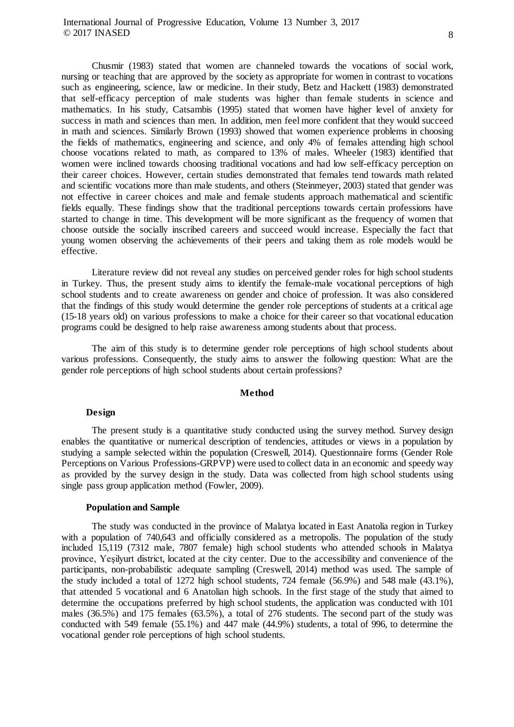Chusmir (1983) stated that women are channeled towards the vocations of social work, nursing or teaching that are approved by the society as appropriate for women in contrast to vocations such as engineering, science, law or medicine. In their study, Betz and Hackett (1983) demonstrated that self-efficacy perception of male students was higher than female students in science and mathematics. In his study, Catsambis (1995) stated that women have higher level of anxiety for success in math and sciences than men. In addition, men feel more confident that they would succeed in math and sciences. Similarly Brown (1993) showed that women experience problems in choosing the fields of mathematics, engineering and science, and only 4% of females attending high school choose vocations related to math, as compared to 13% of males. Wheeler (1983) identified that

women were inclined towards choosing traditional vocations and had low self-efficacy perception on their career choices. However, certain studies demonstrated that females tend towards math related and scientific vocations more than male students, and others (Steinmeyer, 2003) stated that gender was not effective in career choices and male and female students approach mathematical and scientific fields equally. These findings show that the traditional perceptions towards certain professions have started to change in time. This development will be more significant as the frequency of women that choose outside the socially inscribed careers and succeed would increase. Especially the fact that young women observing the achievements of their peers and taking them as role models would be effective.

Literature review did not reveal any studies on perceived gender roles for high school students in Turkey. Thus, the present study aims to identify the female-male vocational perceptions of high school students and to create awareness on gender and choice of profession. It was also considered that the findings of this study would determine the gender role perceptions of students at a critical age (15-18 years old) on various professions to make a choice for their career so that vocational education programs could be designed to help raise awareness among students about that process.

The aim of this study is to determine gender role perceptions of high school students about various professions. Consequently, the study aims to answer the following question: What are the gender role perceptions of high school students about certain professions?

# **Method**

### **Design**

The present study is a quantitative study conducted using the survey method. Survey design enables the quantitative or numerical description of tendencies, attitudes or views in a population by studying a sample selected within the population (Creswell, 2014). Questionnaire forms (Gender Role Perceptions on Various Professions-GRPVP) were used to collect data in an economic and speedy way as provided by the survey design in the study. Data was collected from high school students using single pass group application method (Fowler, 2009).

### **Population and Sample**

The study was conducted in the province of Malatya located in East Anatolia region in Turkey with a population of 740,643 and officially considered as a metropolis. The population of the study included 15,119 (7312 male, 7807 female) high school students who attended schools in Malatya province, Yeşilyurt district, located at the city center. Due to the accessibility and convenience of the participants, non-probabilistic adequate sampling (Creswell, 2014) method was used. The sample of the study included a total of 1272 high school students, 724 female (56.9%) and 548 male (43.1%), that attended 5 vocational and 6 Anatolian high schools. In the first stage of the study that aimed to determine the occupations preferred by high school students, the application was conducted with 101 males (36.5%) and 175 females (63.5%), a total of 276 students. The second part of the study was conducted with 549 female (55.1%) and 447 male (44.9%) students, a total of 996, to determine the vocational gender role perceptions of high school students.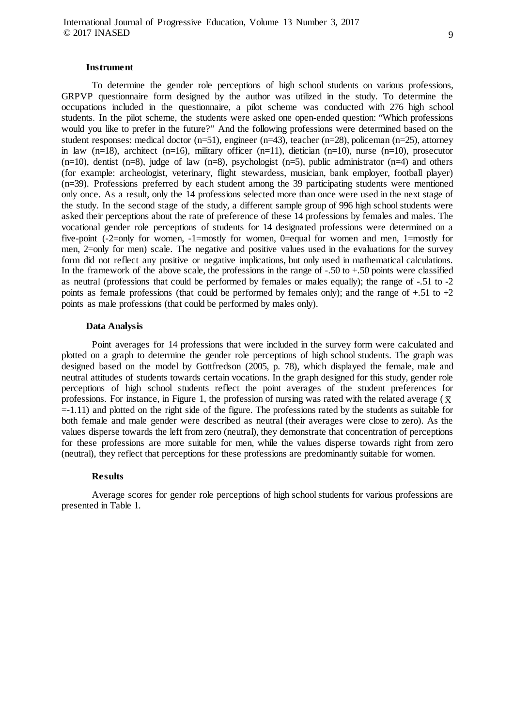#### **Instrument**

To determine the gender role perceptions of high school students on various professions, GRPVP questionnaire form designed by the author was utilized in the study. To determine the occupations included in the questionnaire, a pilot scheme was conducted with 276 high school students. In the pilot scheme, the students were asked one open-ended question: "Which professions would you like to prefer in the future?" And the following professions were determined based on the student responses: medical doctor (n=51), engineer (n=43), teacher (n=28), policeman (n=25), attorney in law  $(n=18)$ , architect  $(n=16)$ , military officer  $(n=11)$ , dietician  $(n=10)$ , nurse  $(n=10)$ , prosecutor  $(n=10)$ , dentist  $(n=8)$ , judge of law  $(n=8)$ , psychologist  $(n=5)$ , public administrator  $(n=4)$  and others (for example: archeologist, veterinary, flight stewardess, musician, bank employer, football player) (n=39). Professions preferred by each student among the 39 participating students were mentioned only once. As a result, only the 14 professions selected more than once were used in the next stage of the study. In the second stage of the study, a different sample group of 996 high school students were asked their perceptions about the rate of preference of these 14 professions by females and males. The vocational gender role perceptions of students for 14 designated professions were determined on a five-point (-2=only for women, -1=mostly for women, 0=equal for women and men, 1=mostly for men, 2=only for men) scale. The negative and positive values used in the evaluations for the survey form did not reflect any positive or negative implications, but only used in mathematical calculations. In the framework of the above scale, the professions in the range of  $-.50$  to  $+.50$  points were classified as neutral (professions that could be performed by females or males equally); the range of -.51 to -2 points as female professions (that could be performed by females only); and the range of  $+0.51$  to  $+2$ points as male professions (that could be performed by males only).

### **Data Analysis**

Point averages for 14 professions that were included in the survey form were calculated and plotted on a graph to determine the gender role perceptions of high school students. The graph was designed based on the model by Gottfredson (2005, p. 78), which displayed the female, male and neutral attitudes of students towards certain vocations. In the graph designed for this study, gender role perceptions of high school students reflect the point averages of the student preferences for professions. For instance, in Figure 1, the profession of nursing was rated with the related average ( $\bar{x}$ ) =-1.11) and plotted on the right side of the figure. The professions rated by the students as suitable for both female and male gender were described as neutral (their averages were close to zero). As the values disperse towards the left from zero (neutral), they demonstrate that concentration of perceptions for these professions are more suitable for men, while the values disperse towards right from zero (neutral), they reflect that perceptions for these professions are predominantly suitable for women.

# **Results**

Average scores for gender role perceptions of high school students for various professions are presented in Table 1.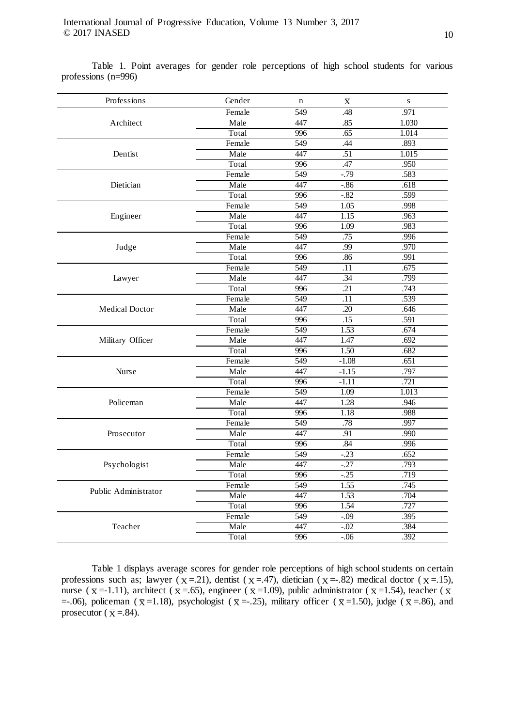Table 1. Point averages for gender role perceptions of high school students for various professions (n=996)

| Professions           | Gender | $\mathbf n$ | $\bar{\textnormal{X}}$ | ${\bf S}$ |
|-----------------------|--------|-------------|------------------------|-----------|
| Architect             | Female | 549         | .48                    | .971      |
|                       | Male   | 447         | .85                    | 1.030     |
|                       | Total  | 996         | .65                    | 1.014     |
| Dentist               | Female | 549         | .44                    | .893      |
|                       | Male   | 447         | $\overline{.51}$       | 1.015     |
|                       | Total  | 996         | .47                    | .950      |
| Dietician             | Female | 549         | $-0.79$                | .583      |
|                       | Male   | 447         | $-0.86$                | .618      |
|                       | Total  | 996         | $-0.82$                | .599      |
| Engineer              | Female | 549         | 1.05                   | .998      |
|                       | Male   | 447         | 1.15                   | .963      |
|                       | Total  | 996         | 1.09                   | .983      |
| Judge                 | Female | 549         | .75                    | .996      |
|                       | Male   | 447         | .99                    | .970      |
|                       | Total  | 996         | .86                    | .991      |
| Lawyer                | Female | 549         | .11                    | .675      |
|                       | Male   | 447         | .34                    | .799      |
|                       | Total  | 996         | .21                    | .743      |
| <b>Medical Doctor</b> | Female | 549         | $\overline{.11}$       | .539      |
|                       | Male   | 447         | $\overline{.20}$       | .646      |
|                       | Total  | 996         | .15                    | .591      |
| Military Officer      | Female | 549         | 1.53                   | .674      |
|                       | Male   | 447         | 1.47                   | .692      |
|                       | Total  | 996         | 1.50                   | .682      |
| Nurse                 | Female | 549         | $-1.08$                | .651      |
|                       | Male   | 447         | $-1.15$                | .797      |
|                       | Total  | 996         | $-1.11$                | .721      |
| Policeman             | Female | 549         | 1.09                   | 1.013     |
|                       | Male   | 447         | 1.28                   | .946      |
|                       | Total  | 996         | 1.18                   | .988      |
| Prosecutor            | Female | 549         | .78                    | .997      |
|                       | Male   | 447         | .91                    | .990      |
|                       | Total  | 996         | .84                    | .996      |
| Psychologist          | Female | 549         | $-0.23$                | .652      |
|                       | Male   | 447         | $-27$                  | .793      |
|                       | Total  | 996         | $-0.25$                | .719      |
| Public Administrator  | Female | 549         | 1.55                   | .745      |
|                       | Male   | 447         | 1.53                   | .704      |
|                       | Total  | 996         | 1.54                   | .727      |
| Teacher               | Female | 549         | $-0.09$                | .395      |
|                       | Male   | 447         | $-.02$                 | .384      |
|                       | Total  | 996         | $-0.06$                | .392      |

Table 1 displays average scores for gender role perceptions of high school students on certain professions such as; lawyer ( $\bar{x}$  =.21), dentist ( $\bar{x}$  =.47), dietician ( $\bar{x}$  =-.82) medical doctor ( $\bar{x}$  =.15), nurse ( $\bar{x}$  =-1.11), architect ( $\bar{x}$  =.65), engineer ( $\bar{x}$  =1.09), public administrator ( $\bar{x}$  =1.54), teacher ( $\bar{x}$ =-.06), policeman ( $\bar{x}$ =1.18), psychologist ( $\bar{x}$ =-.25), military officer ( $\bar{x}$ =1.50), judge ( $\bar{x}$ =.86), and prosecutor ( $\bar{x}$  = 84).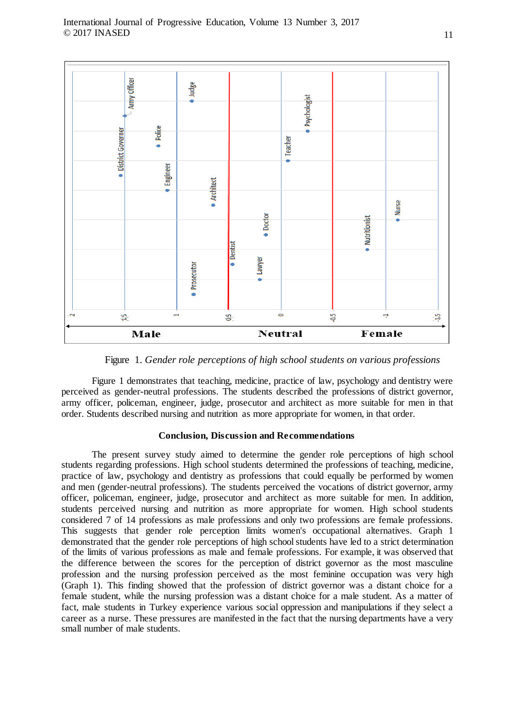

Figure 1. *Gender role perceptions of high school students on various professions*

Figure 1 demonstrates that teaching, medicine, practice of law, psychology and dentistry were perceived as gender-neutral professions. The students described the professions of district governor, army officer, policeman, engineer, judge, prosecutor and architect as more suitable for men in that order. Students described nursing and nutrition as more appropriate for women, in that order.

### **Conclusion, Discussion and Recommendations**

The present survey study aimed to determine the gender role perceptions of high school students regarding professions. High school students determined the professions of teaching, medicine, practice of law, psychology and dentistry as professions that could equally be performed by women and men (gender-neutral professions). The students perceived the vocations of district governor, army officer, policeman, engineer, judge, prosecutor and architect as more suitable for men. In addition, students perceived nursing and nutrition as more appropriate for women. High school students considered 7 of 14 professions as male professions and only two professions are female professions. This suggests that gender role perception limits women's occupational alternatives. Graph 1 demonstrated that the gender role perceptions of high school students have led to a strict determination of the limits of various professions as male and female professions. For example, it was observed that the difference between the scores for the perception of district governor as the most masculine profession and the nursing profession perceived as the most feminine occupation was very high (Graph 1). This finding showed that the profession of district governor was a distant choice for a female student, while the nursing profession was a distant choice for a male student. As a matter of fact, male students in Turkey experience various social oppression and manipulations if they select a career as a nurse. These pressures are manifested in the fact that the nursing departments have a very small number of male students.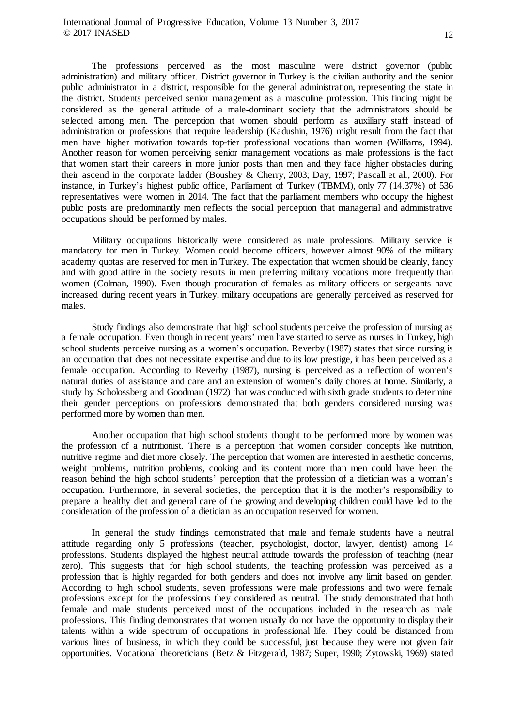The professions perceived as the most masculine were district governor (public administration) and military officer. District governor in Turkey is the civilian authority and the senior public administrator in a district, responsible for the general administration, representing the state in the district. Students perceived senior management as a masculine profession. This finding might be considered as the general attitude of a male-dominant society that the administrators should be selected among men. The perception that women should perform as auxiliary staff instead of administration or professions that require leadership (Kadushin, 1976) might result from the fact that men have higher motivation towards top-tier professional vocations than women (Williams, 1994). Another reason for women perceiving senior management vocations as male professions is the fact that women start their careers in more junior posts than men and they face higher obstacles during their ascend in the corporate ladder (Boushey & Cherry, 2003; Day, 1997; Pascall et al., 2000). For instance, in Turkey's highest public office, Parliament of Turkey (TBMM), only 77 (14.37%) of 536 representatives were women in 2014. The fact that the parliament members who occupy the highest public posts are predominantly men reflects the social perception that managerial and administrative occupations should be performed by males.

Military occupations historically were considered as male professions. Military service is mandatory for men in Turkey. Women could become officers, however almost 90% of the military academy quotas are reserved for men in Turkey. The expectation that women should be cleanly, fancy and with good attire in the society results in men preferring military vocations more frequently than women (Colman, 1990). Even though procuration of females as military officers or sergeants have increased during recent years in Turkey, military occupations are generally perceived as reserved for males.

Study findings also demonstrate that high school students perceive the profession of nursing as a female occupation. Even though in recent years' men have started to serve as nurses in Turkey, high school students perceive nursing as a women's occupation. Reverby (1987) states that since nursing is an occupation that does not necessitate expertise and due to its low prestige, it has been perceived as a female occupation. According to Reverby (1987), nursing is perceived as a reflection of women's natural duties of assistance and care and an extension of women's daily chores at home. Similarly, a study by Scholossberg and Goodman (1972) that was conducted with sixth grade students to determine their gender perceptions on professions demonstrated that both genders considered nursing was performed more by women than men.

Another occupation that high school students thought to be performed more by women was the profession of a nutritionist. There is a perception that women consider concepts like nutrition, nutritive regime and diet more closely. The perception that women are interested in aesthetic concerns, weight problems, nutrition problems, cooking and its content more than men could have been the reason behind the high school students' perception that the profession of a dietician was a woman's occupation. Furthermore, in several societies, the perception that it is the mother's responsibility to prepare a healthy diet and general care of the growing and developing children could have led to the consideration of the profession of a dietician as an occupation reserved for women.

In general the study findings demonstrated that male and female students have a neutral attitude regarding only 5 professions (teacher, psychologist, doctor, lawyer, dentist) among 14 professions. Students displayed the highest neutral attitude towards the profession of teaching (near zero). This suggests that for high school students, the teaching profession was perceived as a profession that is highly regarded for both genders and does not involve any limit based on gender. According to high school students, seven professions were male professions and two were female professions except for the professions they considered as neutral. The study demonstrated that both female and male students perceived most of the occupations included in the research as male professions. This finding demonstrates that women usually do not have the opportunity to display their talents within a wide spectrum of occupations in professional life. They could be distanced from various lines of business, in which they could be successful, just because they were not given fair opportunities. Vocational theoreticians (Betz & Fitzgerald, 1987; Super, 1990; Zytowski, 1969) stated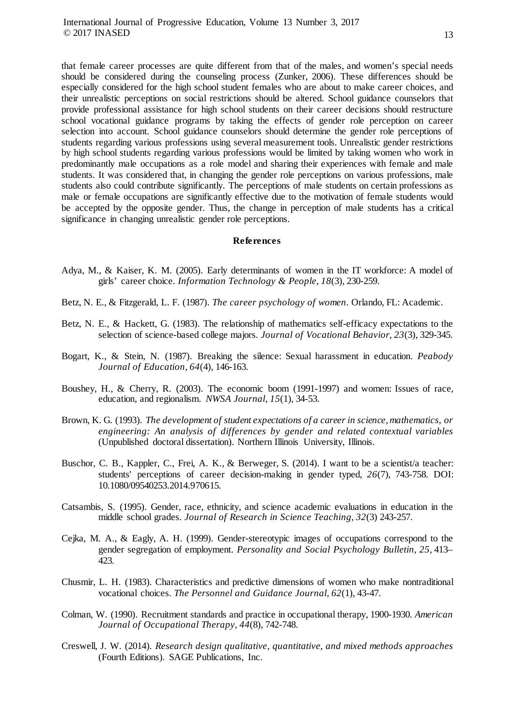that female career processes are quite different from that of the males, and women's special needs should be considered during the counseling process (Zunker, 2006). These differences should be especially considered for the high school student females who are about to make career choices, and their unrealistic perceptions on social restrictions should be altered. School guidance counselors that provide professional assistance for high school students on their career decisions should restructure school vocational guidance programs by taking the effects of gender role perception on career selection into account. School guidance counselors should determine the gender role perceptions of students regarding various professions using several measurement tools. Unrealistic gender restrictions by high school students regarding various professions would be limited by taking women who work in predominantly male occupations as a role model and sharing their experiences with female and male students. It was considered that, in changing the gender role perceptions on various professions, male students also could contribute significantly. The perceptions of male students on certain professions as male or female occupations are significantly effective due to the motivation of female students would be accepted by the opposite gender. Thus, the change in perception of male students has a critical significance in changing unrealistic gender role perceptions.

## **References**

- Adya, M., & Kaiser, K. M. (2005). Early determinants of women in the IT workforce: A model of girls' career choice. *Information Technology & People*, *18*(3), 230-259.
- Betz, N. E., & Fitzgerald, L. F. (1987). *The career psychology of women*. Orlando, FL: Academic.
- Betz, N. E., & Hackett, G. (1983). The relationship of mathematics self-efficacy expectations to the selection of science-based college majors. *Journal of Vocational Behavior*, *23*(3), 329-345.
- Bogart, K., & Stein, N. (1987). Breaking the silence: Sexual harassment in education. *Peabody Journal of Education*, *64*(4), 146-163.
- Boushey, H., & Cherry, R. (2003). The economic boom (1991-1997) and women: Issues of race, education, and regionalism. *NWSA Journal*, *15*(1), 34-53.
- Brown, K. G. (1993). *The development of student expectations of a career in science, mathematics, or engineering: An analysis of differences by gender and related contextual variables* (Unpublished doctoral dissertation). Northern Illinois University, Illinois.
- Buschor, C. B., Kappler, C., Frei, A. K., & Berweger, S. (2014). I want to be a scientist/a teacher: students' perceptions of career decision-making in gender typed, *26*(7), 743-758. DOI: 10.1080/09540253.2014.970615.
- Catsambis, S. (1995). Gender, race, ethnicity, and science academic evaluations in education in the middle school grades. *Journal of Research in Science Teaching*, *32*(3) 243-257.
- Cejka, M. A., & Eagly, A. H. (1999). Gender-stereotypic images of occupations correspond to the gender segregation of employment. *Personality and Social Psychology Bulletin*, *25*, 413– 423.
- Chusmir, L. H. (1983). Characteristics and predictive dimensions of women who make nontraditional vocational choices. *The Personnel and Guidance Journal*, *62*(1), 43-47.
- Colman, W. (1990). Recruitment standards and practice in occupational therapy, 1900-1930. *American Journal of Occupational Therapy*, *44*(8), 742-748.
- Creswell, J. W. (2014). *Research design qualitative, quantitative, and mixed methods approaches* (Fourth Editions). SAGE Publications, Inc.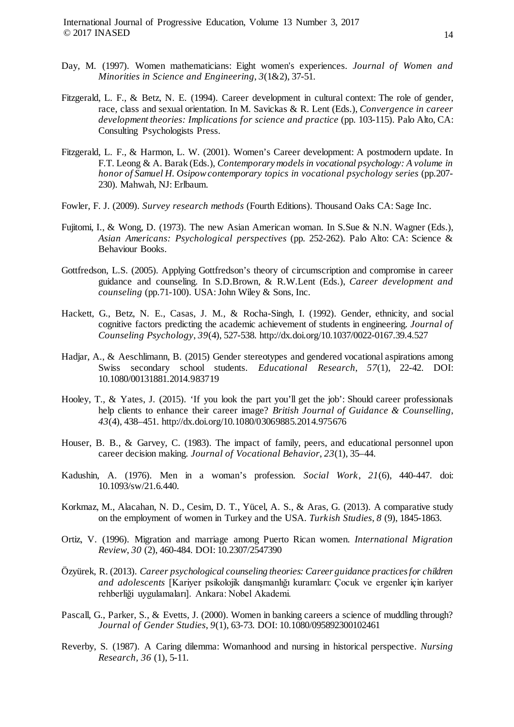International Journal of Progressive Education, Volume 13 Number 3, 2017 © 2017 INASED

- Day, M. (1997). Women mathematicians: Eight women's experiences. *Journal of Women and Minorities in Science and Engineering*, *3*(1&2), 37-51.
- Fitzgerald, L. F., & Betz, N. E. (1994). Career development in cultural context: The role of gender, race, class and sexual orientation. In M. Savickas & R. Lent (Eds.), *Convergence in career*  development theories: Implications for science and practice (pp. 103-115). Palo Alto, CA: Consulting Psychologists Press.
- Fitzgerald, L. F., & Harmon, L. W. (2001). Women's Career development: A postmodern update. In F.T. Leong & A. Barak (Eds.), *Contemporary models in vocational psychology: A volume in honor of Samuel H. Osipow contemporary topics in vocational psychology series* (pp.207- 230). Mahwah, NJ: Erlbaum.
- Fowler, F. J. (2009). *Survey research methods* (Fourth Editions). Thousand Oaks CA: Sage Inc.
- Fujitomi, I., & Wong, D. (1973). The new Asian American woman. In S.Sue & N.N. Wagner (Eds.), *Asian Americans: Psychological perspectives* (pp. 252-262). Palo Alto: CA: Science & Behaviour Books.
- Gottfredson, L.S. (2005). Applying Gottfredson's theory of circumscription and compromise in career guidance and counseling. In S.D.Brown, & R.W.Lent (Eds.), *Career development and counseling* (pp.71-100). USA: John Wiley & Sons, Inc.
- Hackett, G., Betz, N. E., Casas, J. M., & Rocha-Singh, I. (1992). Gender, ethnicity, and social cognitive factors predicting the academic achievement of students in engineering. *Journal of Counseling Psychology*, *39*(4), 527-538. http://dx.doi.org/10.1037/0022-0167.39.4.527
- Hadjar, A., & Aeschlimann, B. (2015) Gender stereotypes and gendered vocational aspirations among Swiss secondary school students. *Educational Research*, *57*(1), 22-42. DOI: 10.1080/00131881.2014.983719
- Hooley, T., & Yates, J. (2015). 'If you look the part you'll get the job': Should career professionals help clients to enhance their career image? *British Journal of Guidance & Counselling*, *43*(4), 438–451. <http://dx.doi.org/10.1080/03069885.2014.975676>
- Houser, B. B., & Garvey, C. (1983). The impact of family, peers, and educational personnel upon career decision making. *Journal of Vocational Behavior*, *23*(1), 35–44.
- Kadushin, A. (1976). Men in a woman's profession. *Social Work*, *21*(6), 440-447. doi: 10.1093/sw/21.6.440.
- Korkmaz, M., Alacahan, N. D., Cesim, D. T., Yücel, A. S., & Aras, G. (2013). A comparative study on the employment of women in Turkey and the USA. *Turkish Studies*, *8* (9), 1845-1863.
- Ortiz, V. (1996). Migration and marriage among Puerto Rican women. *International Migration Review*, *30* (2), 460-484. DOI: 10.2307/2547390
- Özyürek, R. (2013). *Career psychological counseling theories: Career guidance practices for children and adolescents* [Kariyer psikolojik danışmanlığı kuramları: Çocuk ve ergenler için kariyer rehberliği uygulamaları]. Ankara: Nobel Akademi.
- Pascall, G., Parker, S., & Evetts, J. (2000). Women in banking careers a science of muddling through? *Journal of Gender Studies*, *9*(1), 63-73. DOI: 10.1080/095892300102461
- Reverby, S. (1987). A Caring dilemma: Womanhood and nursing in historical perspective. *Nursing Research, 36* (1), 5-11.